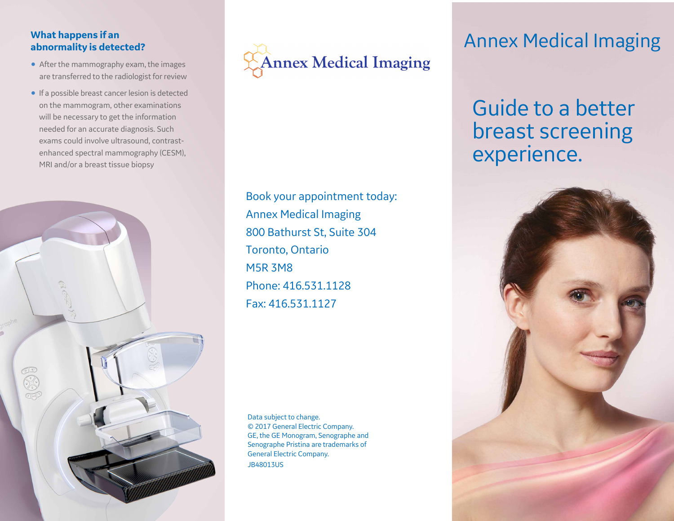#### **What happens if an abnormality is detected?**

- After the mammography exam, the images are transferred to the radiologist for review
- If a possible breast cancer lesion is detected on the mammogram, other examinations will be necessary to get the information needed for an accurate diagnosis. Such exams could involve ultrasound, contrastenhanced spectral mammography (CESM), MRI and/or a breast tissue biopsy





Book your appointment today: Annex Medical Imaging 800 Bathurst St, Suite 304 Toronto, Ontario M5R 3M8 Phone: 416.531.1128 Fax: 416.531.1127

Data subject to change. © 2017 General Electric Company. GE, the GE Monogram, Senographe and Senographe Pristina are trademarks of General Electric Company. JB48013US

### Annex Medical Imaging

## Guide to a better breast screening experience.

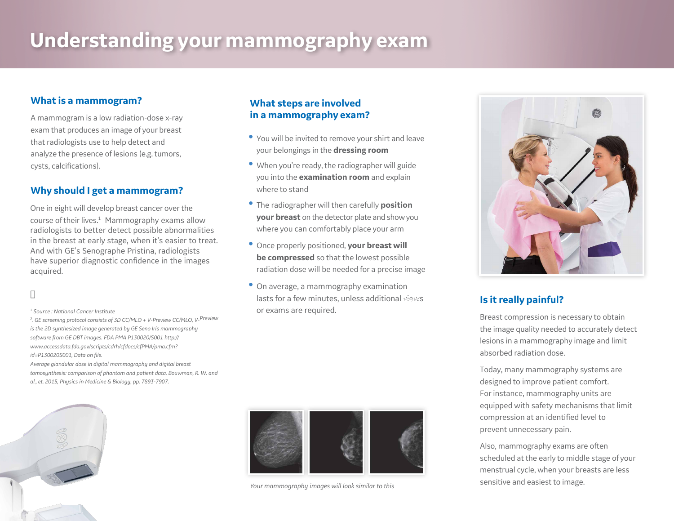## **Understanding your mammography exam**

#### **What is a mammogram?**

A mammogram is a low radiation-dose x-ray exam that produces an image of your breast that radiologists use to help detect and analyze the presence of lesions (e.g. tumors, cysts, calcifications).

#### **Why should I get a mammogram?**

One in eight will develop breast cancer over the course oftheir lives. <sup>1</sup> Mammography exams allow radiologists to better detect possible abnormalities in the breast at early stage, when it's easier to treat. And with GE's Senographe Pristina, radiologists have superior diagnostic confidence in the images acquired.

#### *<sup>1</sup> Source : National Cancer Institute*

2 . *GE screening protocol consists of 3D CC/MLO + V-Preview CC/MLO, V-Preview is the 2D synthesized image generated by GE Seno Iris mammography software from GE DBT images. FDA PMA P130020/S001 http:// www.accessdata.fda.gov/scripts/cdrh/cfdocs/cfPMA/pma.cfm? id=P130020S001, Data on file.*

*Average glandular dose in digital mammography and digital breast tomosynthesis: comparison of phantom and patient data. Bouwman, R. W. and al., et. 2015, Physics in Medicine & Biology, pp. 7893-7907.*



#### **What steps are involved in a mammography exam?**

- You will be invited to remove your shirt and leave your belongings in the **dressing room**
- When you're ready, the radiographer will guide you into the **examination room** and explain where to stand
- The radiographer will then carefully **position your breast** on the detector plate and showyou where you can comfortably place your arm
- Once properly positioned, **your breast will be compressed** so that the lowest possible radiation dose will be needed for a precise image
- On average, a mammography examination lasts for a few minutes, unless additional views or exams are required.



*Your mammography images will look similar to this*



### **Is it really painful?**

Breast compression is necessary to obtain the image quality needed to accurately detect lesions in a mammography image and limit absorbed radiation dose.

Today, many mammography systems are designed to improve patient comfort. For instance, mammography units are equipped with safety mechanisms that limit compression at an identified level to prevent unnecessary pain.

Also, mammography exams are often scheduled at the early to middle stage of your menstrual cycle, when your breasts are less sensitive and easiest to image.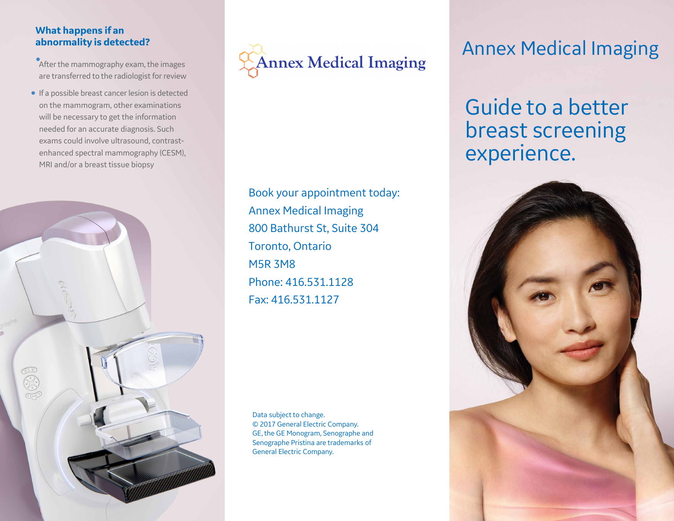#### **What happens if an abnormality is detected?**

**•After the mammography exam, the images** are transferred to the radiologist for review

• If a possible breast cancer lesion is detected on the mammogram, other examinations will be necessary to get the information needed for an accurate diagnosis. Such exams could involve ultrasound, contrastenhanced spectral mammography (CESM), MRI and/or a breast tissue biopsy





Book your appointment today: Annex Medical Imaging 800 Bathurst St, Suite 304 Toronto, Ontario M5R 3M8 Phone: 416.531.1128 Fax: 416.531.1127

Data subject to change. © 2017 General Electric Company. GE, the GE Monogram, Senographe and Senographe Pristina are trademarks of General Electric Company.

### Annex Medical Imaging

# Guide to a better breast screening experience.